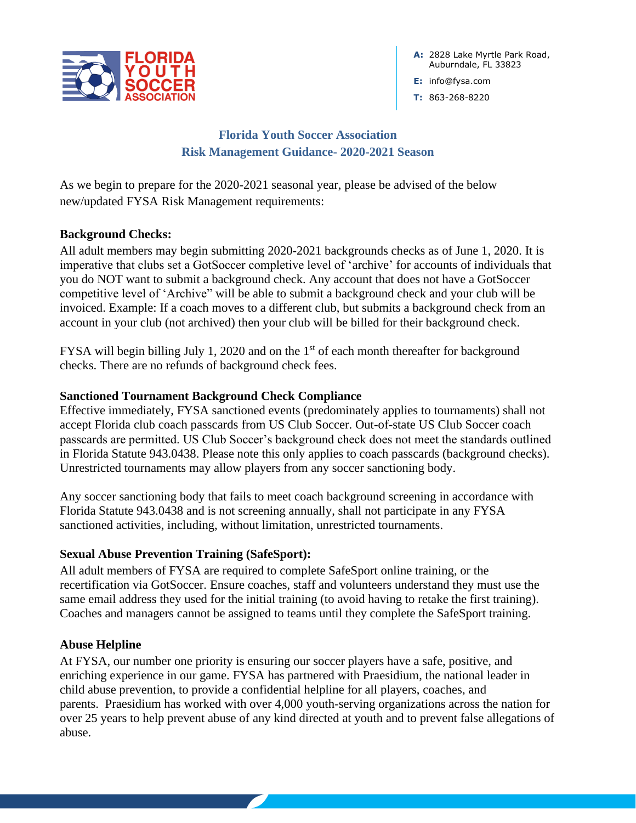

**A:** 2828 Lake Myrtle Park Road, Auburndale, FL 33823

**E:** info@fysa.com

**T:** 863-268-8220

# **Florida Youth Soccer Association Risk Management Guidance- 2020-2021 Season**

As we begin to prepare for the 2020-2021 seasonal year, please be advised of the below new/updated FYSA Risk Management requirements:

### **Background Checks:**

All adult members may begin submitting 2020-2021 backgrounds checks as of June 1, 2020. It is imperative that clubs set a GotSoccer completive level of 'archive' for accounts of individuals that you do NOT want to submit a background check. Any account that does not have a GotSoccer competitive level of 'Archive" will be able to submit a background check and your club will be invoiced. Example: If a coach moves to a different club, but submits a background check from an account in your club (not archived) then your club will be billed for their background check.

FYSA will begin billing July 1, 2020 and on the 1<sup>st</sup> of each month thereafter for background checks. There are no refunds of background check fees.

### **Sanctioned Tournament Background Check Compliance**

Effective immediately, FYSA sanctioned events (predominately applies to tournaments) shall not accept Florida club coach passcards from US Club Soccer. Out-of-state US Club Soccer coach passcards are permitted. US Club Soccer's background check does not meet the standards outlined in Florida Statute 943.0438. Please note this only applies to coach passcards (background checks). Unrestricted tournaments may allow players from any soccer sanctioning body.

Any soccer sanctioning body that fails to meet coach background screening in accordance with Florida Statute 943.0438 and is not screening annually, shall not participate in any FYSA sanctioned activities, including, without limitation, unrestricted tournaments.

# **Sexual Abuse Prevention Training (SafeSport):**

All adult members of FYSA are required to complete SafeSport online training, or the recertification via GotSoccer. Ensure coaches, staff and volunteers understand they must use the same email address they used for the initial training (to avoid having to retake the first training). Coaches and managers cannot be assigned to teams until they complete the SafeSport training.

### **Abuse Helpline**

At FYSA, our number one priority is ensuring our soccer players have a safe, positive, and enriching experience in our game. FYSA has partnered with Praesidium, the national leader in child abuse prevention, to provide a confidential helpline for all players, coaches, and parents. Praesidium has worked with over 4,000 youth-serving organizations across the nation for over 25 years to help prevent abuse of any kind directed at youth and to prevent false allegations of abuse.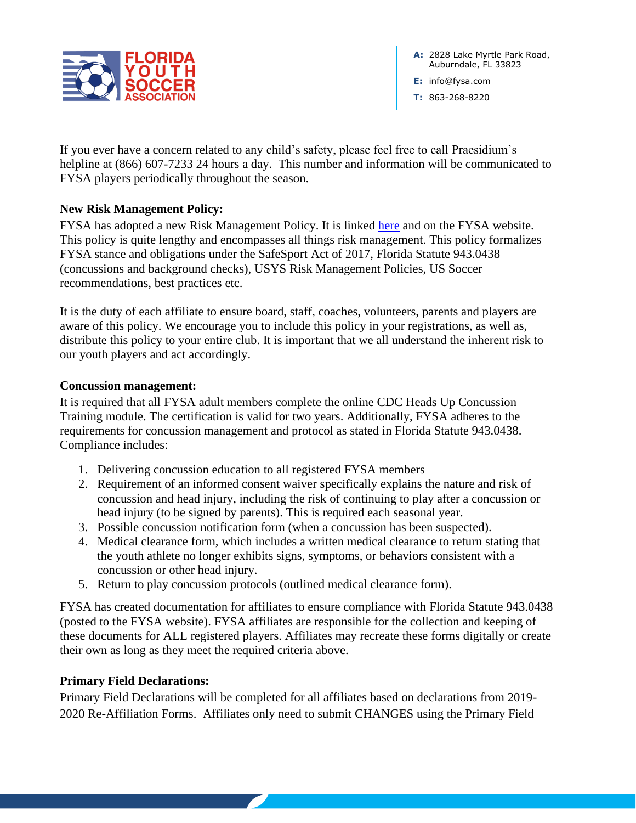

**A:** 2828 Lake Myrtle Park Road, Auburndale, FL 33823

**E:** info@fysa.com

**T:** 863-268-8220

If you ever have a concern related to any child's safety, please feel free to call Praesidium's helpline at (866) 607-7233 24 hours a day. This number and information will be communicated to FYSA players periodically throughout the season.

### **New Risk Management Policy:**

FYSA has adopted a new Risk Management Policy. It is linked [here](https://www.fysa.com/assets/56/6/fysa_riskmanagmentpolicy_final.pdf) and on the FYSA website. This policy is quite lengthy and encompasses all things risk management. This policy formalizes FYSA stance and obligations under the SafeSport Act of 2017, Florida Statute 943.0438 (concussions and background checks), USYS Risk Management Policies, US Soccer recommendations, best practices etc.

It is the duty of each affiliate to ensure board, staff, coaches, volunteers, parents and players are aware of this policy. We encourage you to include this policy in your registrations, as well as, distribute this policy to your entire club. It is important that we all understand the inherent risk to our youth players and act accordingly.

#### **Concussion management:**

It is required that all FYSA adult members complete the online CDC Heads Up Concussion Training module. The certification is valid for two years. Additionally, FYSA adheres to the requirements for concussion management and protocol as stated in Florida Statute 943.0438. Compliance includes:

- 1. Delivering concussion education to all registered FYSA members
- 2. Requirement of an informed consent waiver specifically explains the nature and risk of concussion and head injury, including the risk of continuing to play after a concussion or head injury (to be signed by parents). This is required each seasonal year.
- 3. Possible concussion notification form (when a concussion has been suspected).
- 4. Medical clearance form, which includes a written medical clearance to return stating that the youth athlete no longer exhibits signs, symptoms, or behaviors consistent with a concussion or other head injury.
- 5. Return to play concussion protocols (outlined medical clearance form).

FYSA has created documentation for affiliates to ensure compliance with Florida Statute 943.0438 (posted to the FYSA website). FYSA affiliates are responsible for the collection and keeping of these documents for ALL registered players. Affiliates may recreate these forms digitally or create their own as long as they meet the required criteria above.

#### **Primary Field Declarations:**

Primary Field Declarations will be completed for all affiliates based on declarations from 2019- 2020 Re-Affiliation Forms. Affiliates only need to submit CHANGES using the Primary Field